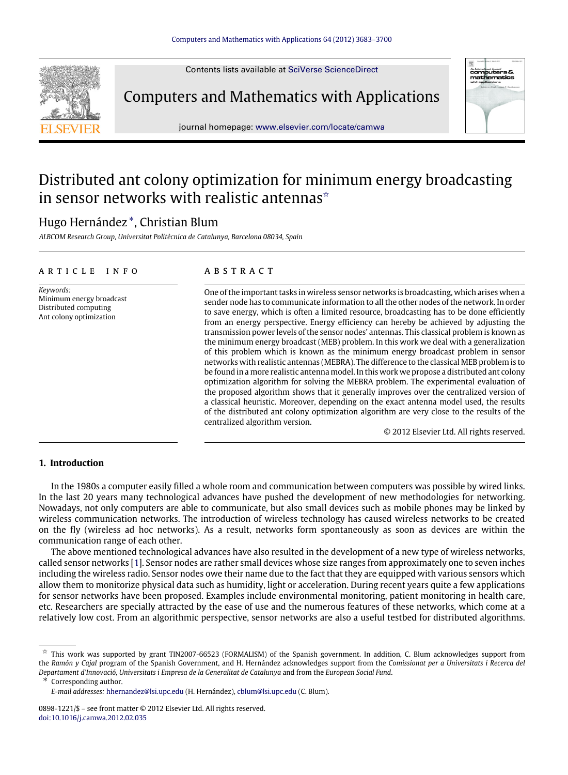Contents lists available at [SciVerse ScienceDirect](http://www.elsevier.com/locate/camwa)



Computers and Mathematics with Applications



# Distributed ant colony optimization for minimum energy broadcasting in sensor networks with realistic antennas<sup> $\dot{\mathbf{x}}$ </sup>

# Hugo Hernández [∗](#page-0-1) , Christian Blum

*ALBCOM Research Group, Universitat Politècnica de Catalunya, Barcelona 08034, Spain*

#### ARTICLE INFO

*Keywords:* Minimum energy broadcast Distributed computing Ant colony optimization

# a b s t r a c t

One of the important tasks in wireless sensor networks is broadcasting, which arises when a sender node has to communicate information to all the other nodes of the network. In order to save energy, which is often a limited resource, broadcasting has to be done efficiently from an energy perspective. Energy efficiency can hereby be achieved by adjusting the transmission power levels of the sensor nodes' antennas. This classical problem is known as the minimum energy broadcast (MEB) problem. In this work we deal with a generalization of this problem which is known as the minimum energy broadcast problem in sensor networks with realistic antennas (MEBRA). The difference to the classical MEB problem is to be found in a more realistic antenna model. In this work we propose a distributed ant colony optimization algorithm for solving the MEBRA problem. The experimental evaluation of the proposed algorithm shows that it generally improves over the centralized version of a classical heuristic. Moreover, depending on the exact antenna model used, the results of the distributed ant colony optimization algorithm are very close to the results of the centralized algorithm version.

© 2012 Elsevier Ltd. All rights reserved.

## **1. Introduction**

In the 1980s a computer easily filled a whole room and communication between computers was possible by wired links. In the last 20 years many technological advances have pushed the development of new methodologies for networking. Nowadays, not only computers are able to communicate, but also small devices such as mobile phones may be linked by wireless communication networks. The introduction of wireless technology has caused wireless networks to be created on the fly (wireless ad hoc networks). As a result, networks form spontaneously as soon as devices are within the communication range of each other.

The above mentioned technological advances have also resulted in the development of a new type of wireless networks, called sensor networks [\[1\]](#page--1-0). Sensor nodes are rather small devices whose size ranges from approximately one to seven inches including the wireless radio. Sensor nodes owe their name due to the fact that they are equipped with various sensors which allow them to monitorize physical data such as humidity, light or acceleration. During recent years quite a few applications for sensor networks have been proposed. Examples include environmental monitoring, patient monitoring in health care, etc. Researchers are specially attracted by the ease of use and the numerous features of these networks, which come at a relatively low cost. From an algorithmic perspective, sensor networks are also a useful testbed for distributed algorithms.

<span id="page-0-0"></span> $\overrightarrow{x}$  This work was supported by grant TIN2007-66523 (FORMALISM) of the Spanish government. In addition, C. Blum acknowledges support from the *Ramón y Cajal* program of the Spanish Government, and H. Hernández acknowledges support from the *Comissionat per a Universitats i Recerca del Departament d'Innovació, Universitats i Empresa de la Generalitat de Catalunya* and from the *European Social Fund*. ∗ Corresponding author.

<span id="page-0-1"></span>*E-mail addresses:* [hhernandez@lsi.upc.edu](mailto:hhernandez@lsi.upc.edu) (H. Hernández), [cblum@lsi.upc.edu](mailto:cblum@lsi.upc.edu) (C. Blum).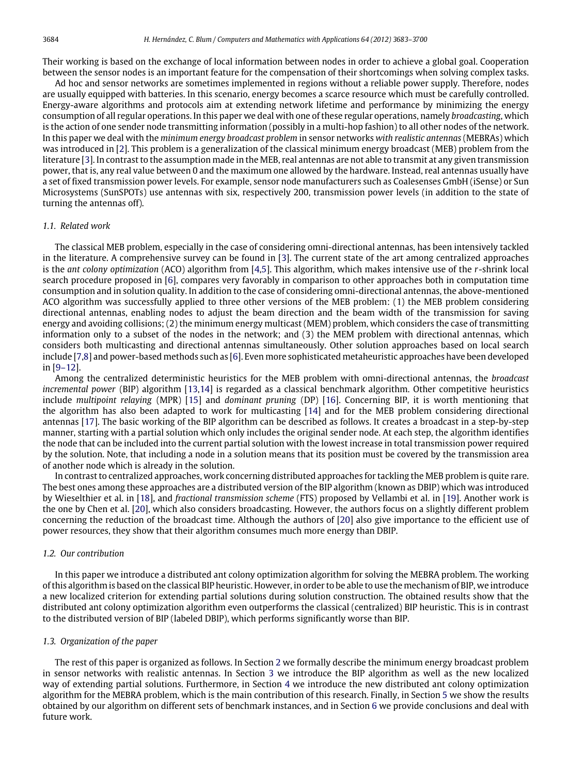Their working is based on the exchange of local information between nodes in order to achieve a global goal. Cooperation between the sensor nodes is an important feature for the compensation of their shortcomings when solving complex tasks.

Ad hoc and sensor networks are sometimes implemented in regions without a reliable power supply. Therefore, nodes are usually equipped with batteries. In this scenario, energy becomes a scarce resource which must be carefully controlled. Energy-aware algorithms and protocols aim at extending network lifetime and performance by minimizing the energy consumption of all regular operations. In this paper we deal with one of these regular operations, namely *broadcasting*, which is the action of one sender node transmitting information (possibly in a multi-hop fashion) to all other nodes of the network. In this paper we deal with the *minimum energy broadcast problem* in sensor networks *with realistic antennas* (MEBRAs) which was introduced in [\[2\]](#page--1-1). This problem is a generalization of the classical minimum energy broadcast (MEB) problem from the literature [\[3\]](#page--1-2). In contrast to the assumption made in the MEB, real antennas are not able to transmit at any given transmission power, that is, any real value between 0 and the maximum one allowed by the hardware. Instead, real antennas usually have a set of fixed transmission power levels. For example, sensor node manufacturers such as Coalesenses GmbH (iSense) or Sun Microsystems (SunSPOTs) use antennas with six, respectively 200, transmission power levels (in addition to the state of turning the antennas off).

#### *1.1. Related work*

The classical MEB problem, especially in the case of considering omni-directional antennas, has been intensively tackled in the literature. A comprehensive survey can be found in [\[3\]](#page--1-2). The current state of the art among centralized approaches is the *ant colony optimization* (ACO) algorithm from [\[4,](#page--1-3)[5\]](#page--1-4). This algorithm, which makes intensive use of the *r*-shrink local search procedure proposed in [\[6\]](#page--1-5), compares very favorably in comparison to other approaches both in computation time consumption and in solution quality. In addition to the case of considering omni-directional antennas, the above-mentioned ACO algorithm was successfully applied to three other versions of the MEB problem: (1) the MEB problem considering directional antennas, enabling nodes to adjust the beam direction and the beam width of the transmission for saving energy and avoiding collisions; (2) the minimum energy multicast (MEM) problem, which considers the case of transmitting information only to a subset of the nodes in the network; and (3) the MEM problem with directional antennas, which considers both multicasting and directional antennas simultaneously. Other solution approaches based on local search include [\[7](#page--1-6)[,8\]](#page--1-7) and power-based methods such as [\[6\]](#page--1-5). Even more sophisticated metaheuristic approaches have been developed in [\[9–12\]](#page--1-8).

Among the centralized deterministic heuristics for the MEB problem with omni-directional antennas, the *broadcast incremental power* (BIP) algorithm [\[13,](#page--1-9)[14\]](#page--1-10) is regarded as a classical benchmark algorithm. Other competitive heuristics include *multipoint relaying* (MPR) [\[15\]](#page--1-11) and *dominant pruning* (DP) [\[16\]](#page--1-12). Concerning BIP, it is worth mentioning that the algorithm has also been adapted to work for multicasting [\[14\]](#page--1-10) and for the MEB problem considering directional antennas [\[17\]](#page--1-13). The basic working of the BIP algorithm can be described as follows. It creates a broadcast in a step-by-step manner, starting with a partial solution which only includes the original sender node. At each step, the algorithm identifies the node that can be included into the current partial solution with the lowest increase in total transmission power required by the solution. Note, that including a node in a solution means that its position must be covered by the transmission area of another node which is already in the solution.

In contrast to centralized approaches, work concerning distributed approaches for tackling the MEB problem is quite rare. The best ones among these approaches are a distributed version of the BIP algorithm (known as DBIP) which was introduced by Wieselthier et al. in [\[18\]](#page--1-14), and *fractional transmission scheme* (FTS) proposed by Vellambi et al. in [\[19\]](#page--1-15). Another work is the one by Chen et al. [\[20\]](#page--1-16), which also considers broadcasting. However, the authors focus on a slightly different problem concerning the reduction of the broadcast time. Although the authors of [\[20\]](#page--1-16) also give importance to the efficient use of power resources, they show that their algorithm consumes much more energy than DBIP.

## *1.2. Our contribution*

In this paper we introduce a distributed ant colony optimization algorithm for solving the MEBRA problem. The working of this algorithm is based on the classical BIP heuristic. However, in order to be able to use the mechanism of BIP, we introduce a new localized criterion for extending partial solutions during solution construction. The obtained results show that the distributed ant colony optimization algorithm even outperforms the classical (centralized) BIP heuristic. This is in contrast to the distributed version of BIP (labeled DBIP), which performs significantly worse than BIP.

### *1.3. Organization of the paper*

The rest of this paper is organized as follows. In Section [2](#page--1-17) we formally describe the minimum energy broadcast problem in sensor networks with realistic antennas. In Section [3](#page--1-18) we introduce the BIP algorithm as well as the new localized way of extending partial solutions. Furthermore, in Section [4](#page--1-19) we introduce the new distributed ant colony optimization algorithm for the MEBRA problem, which is the main contribution of this research. Finally, in Section [5](#page--1-20) we show the results obtained by our algorithm on different sets of benchmark instances, and in Section [6](#page--1-21) we provide conclusions and deal with future work.